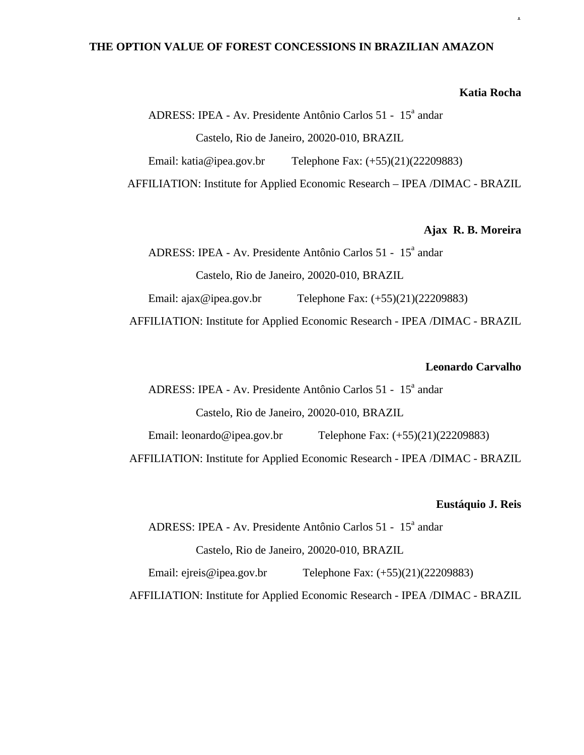# **THE OPTION VALUE OF FOREST CONCESSIONS IN BRAZILIAN AMAZON**

## **Katia Rocha**

1

ADRESS: IPEA - Av. Presidente Antônio Carlos 51 - 15<sup>ª</sup> andar Castelo, Rio de Janeiro, 20020-010, BRAZIL Email: katia@ipea.gov.br Telephone Fax:  $(+55)(21)(22209883)$ AFFILIATION: Institute for Applied Economic Research – IPEA /DIMAC - BRAZIL

## **Ajax R. B. Moreira**

ADRESS: IPEA - Av. Presidente Antônio Carlos 51 - 15<sup>ª</sup> andar Castelo, Rio de Janeiro, 20020-010, BRAZIL Email: ajax@ipea.gov.br Telephone Fax: (+55)(21)(22209883)

AFFILIATION: Institute for Applied Economic Research - IPEA /DIMAC - BRAZIL

# **Leonardo Carvalho**

ADRESS: IPEA - Av. Presidente Antônio Carlos 51 - 15<sup>ª</sup> andar Castelo, Rio de Janeiro, 20020-010, BRAZIL

Email: leonardo@ipea.gov.br Telephone Fax: (+55)(21)(22209883)

AFFILIATION: Institute for Applied Economic Research - IPEA /DIMAC - BRAZIL

#### **Eustáquio J. Reis**

ADRESS: IPEA - Av. Presidente Antônio Carlos 51 - 15<sup>ª</sup> andar

Castelo, Rio de Janeiro, 20020-010, BRAZIL

Email: ejreis@ipea.gov.br Telephone Fax: (+55)(21)(22209883)

AFFILIATION: Institute for Applied Economic Research - IPEA /DIMAC - BRAZIL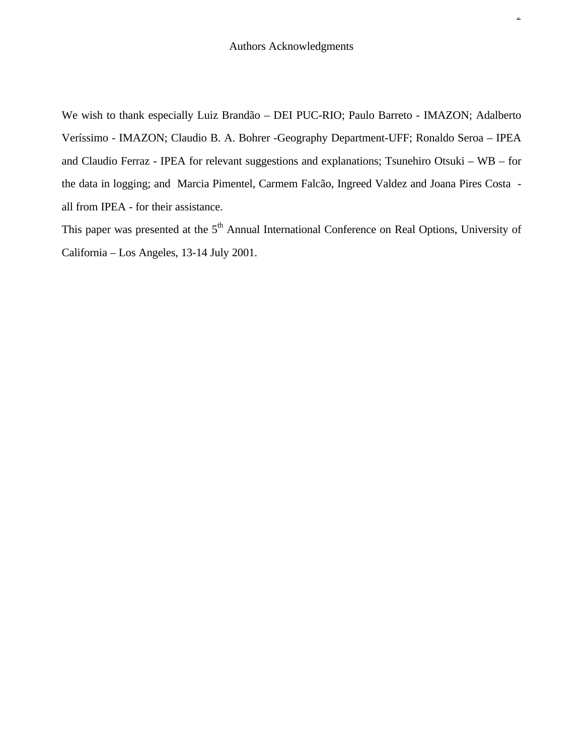We wish to thank especially Luiz Brandão – DEI PUC-RIO; Paulo Barreto - IMAZON; Adalberto Veríssimo - IMAZON; Claudio B. A. Bohrer -Geography Department-UFF; Ronaldo Seroa – IPEA and Claudio Ferraz - IPEA for relevant suggestions and explanations; Tsunehiro Otsuki – WB – for the data in logging; and Marcia Pimentel, Carmem Falcão, Ingreed Valdez and Joana Pires Costa all from IPEA - for their assistance.

This paper was presented at the  $5<sup>th</sup>$  Annual International Conference on Real Options, University of California – Los Angeles, 13-14 July 2001.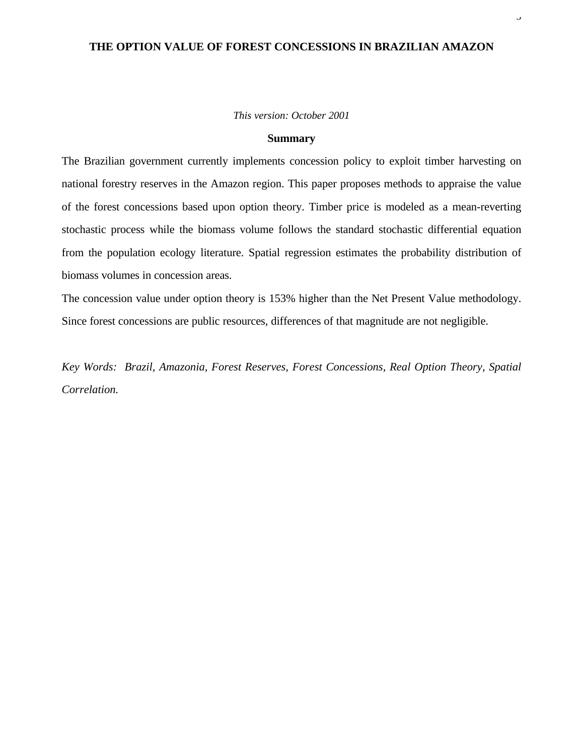# **THE OPTION VALUE OF FOREST CONCESSIONS IN BRAZILIAN AMAZON**

3

#### *This version: October 2001*

#### **Summary**

The Brazilian government currently implements concession policy to exploit timber harvesting on national forestry reserves in the Amazon region. This paper proposes methods to appraise the value of the forest concessions based upon option theory. Timber price is modeled as a mean-reverting stochastic process while the biomass volume follows the standard stochastic differential equation from the population ecology literature. Spatial regression estimates the probability distribution of biomass volumes in concession areas.

The concession value under option theory is 153% higher than the Net Present Value methodology. Since forest concessions are public resources, differences of that magnitude are not negligible.

*Key Words: Brazil, Amazonia, Forest Reserves, Forest Concessions, Real Option Theory, Spatial Correlation.*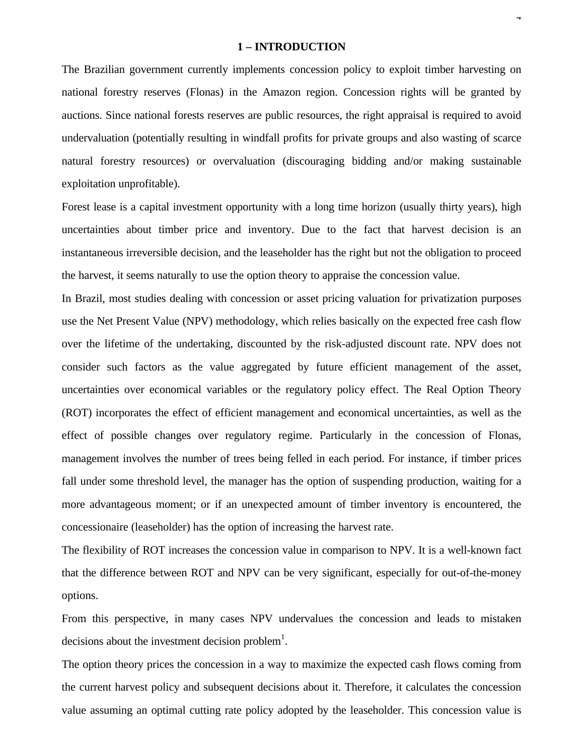## **1 – INTRODUCTION**

The Brazilian government currently implements concession policy to exploit timber harvesting on national forestry reserves (Flonas) in the Amazon region. Concession rights will be granted by auctions. Since national forests reserves are public resources, the right appraisal is required to avoid undervaluation (potentially resulting in windfall profits for private groups and also wasting of scarce natural forestry resources) or overvaluation (discouraging bidding and/or making sustainable exploitation unprofitable).

Forest lease is a capital investment opportunity with a long time horizon (usually thirty years), high uncertainties about timber price and inventory. Due to the fact that harvest decision is an instantaneous irreversible decision, and the leaseholder has the right but not the obligation to proceed the harvest, it seems naturally to use the option theory to appraise the concession value.

In Brazil, most studies dealing with concession or asset pricing valuation for privatization purposes use the Net Present Value (NPV) methodology, which relies basically on the expected free cash flow over the lifetime of the undertaking, discounted by the risk-adjusted discount rate. NPV does not consider such factors as the value aggregated by future efficient management of the asset, uncertainties over economical variables or the regulatory policy effect. The Real Option Theory (ROT) incorporates the effect of efficient management and economical uncertainties, as well as the effect of possible changes over regulatory regime. Particularly in the concession of Flonas, management involves the number of trees being felled in each period. For instance, if timber prices fall under some threshold level, the manager has the option of suspending production, waiting for a more advantageous moment; or if an unexpected amount of timber inventory is encountered, the concessionaire (leaseholder) has the option of increasing the harvest rate.

The flexibility of ROT increases the concession value in comparison to NPV. It is a well-known fact that the difference between ROT and NPV can be very significant, especially for out-of-the-money options.

From this perspective, in many cases NPV undervalues the concession and leads to mistaken decisions about the investment decision problem $<sup>1</sup>$ .</sup>

The option theory prices the concession in a way to maximize the expected cash flows coming from the current harvest policy and subsequent decisions about it. Therefore, it calculates the concession value assuming an optimal cutting rate policy adopted by the leaseholder. This concession value is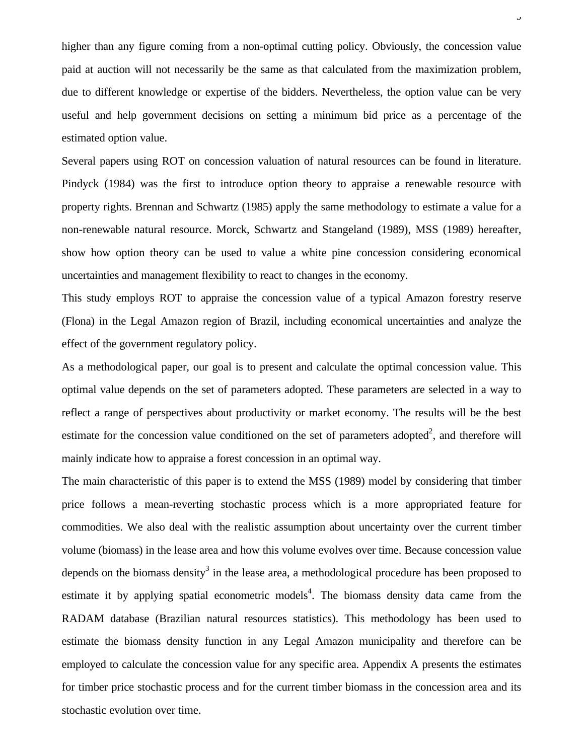higher than any figure coming from a non-optimal cutting policy. Obviously, the concession value paid at auction will not necessarily be the same as that calculated from the maximization problem, due to different knowledge or expertise of the bidders. Nevertheless, the option value can be very useful and help government decisions on setting a minimum bid price as a percentage of the estimated option value.

 $\overline{a}$ 

Several papers using ROT on concession valuation of natural resources can be found in literature. Pindyck (1984) was the first to introduce option theory to appraise a renewable resource with property rights. Brennan and Schwartz (1985) apply the same methodology to estimate a value for a non-renewable natural resource. Morck, Schwartz and Stangeland (1989), MSS (1989) hereafter, show how option theory can be used to value a white pine concession considering economical uncertainties and management flexibility to react to changes in the economy.

This study employs ROT to appraise the concession value of a typical Amazon forestry reserve (Flona) in the Legal Amazon region of Brazil, including economical uncertainties and analyze the effect of the government regulatory policy.

As a methodological paper, our goal is to present and calculate the optimal concession value. This optimal value depends on the set of parameters adopted. These parameters are selected in a way to reflect a range of perspectives about productivity or market economy. The results will be the best estimate for the concession value conditioned on the set of parameters adopted<sup>2</sup>, and therefore will mainly indicate how to appraise a forest concession in an optimal way.

The main characteristic of this paper is to extend the MSS (1989) model by considering that timber price follows a mean-reverting stochastic process which is a more appropriated feature for commodities. We also deal with the realistic assumption about uncertainty over the current timber volume (biomass) in the lease area and how this volume evolves over time. Because concession value depends on the biomass density<sup>3</sup> in the lease area, a methodological procedure has been proposed to estimate it by applying spatial econometric models<sup>4</sup>. The biomass density data came from the RADAM database (Brazilian natural resources statistics). This methodology has been used to estimate the biomass density function in any Legal Amazon municipality and therefore can be employed to calculate the concession value for any specific area. Appendix A presents the estimates for timber price stochastic process and for the current timber biomass in the concession area and its stochastic evolution over time.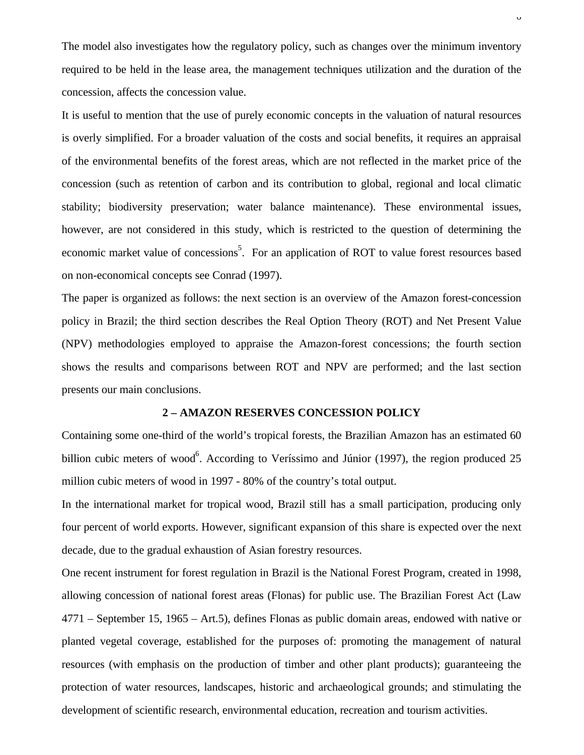The model also investigates how the regulatory policy, such as changes over the minimum inventory required to be held in the lease area, the management techniques utilization and the duration of the concession, affects the concession value.

It is useful to mention that the use of purely economic concepts in the valuation of natural resources is overly simplified. For a broader valuation of the costs and social benefits, it requires an appraisal of the environmental benefits of the forest areas, which are not reflected in the market price of the concession (such as retention of carbon and its contribution to global, regional and local climatic stability; biodiversity preservation; water balance maintenance). These environmental issues, however, are not considered in this study, which is restricted to the question of determining the economic market value of concessions<sup>5</sup>. For an application of ROT to value forest resources based on non-economical concepts see Conrad (1997).

The paper is organized as follows: the next section is an overview of the Amazon forest-concession policy in Brazil; the third section describes the Real Option Theory (ROT) and Net Present Value (NPV) methodologies employed to appraise the Amazon-forest concessions; the fourth section shows the results and comparisons between ROT and NPV are performed; and the last section presents our main conclusions.

#### **2 – AMAZON RESERVES CONCESSION POLICY**

Containing some one-third of the world's tropical forests, the Brazilian Amazon has an estimated 60 billion cubic meters of wood<sup>6</sup>. According to Veríssimo and Júnior (1997), the region produced 25 million cubic meters of wood in 1997 - 80% of the country's total output.

In the international market for tropical wood, Brazil still has a small participation, producing only four percent of world exports. However, significant expansion of this share is expected over the next decade, due to the gradual exhaustion of Asian forestry resources.

One recent instrument for forest regulation in Brazil is the National Forest Program, created in 1998, allowing concession of national forest areas (Flonas) for public use. The Brazilian Forest Act (Law 4771 – September 15, 1965 – Art.5), defines Flonas as public domain areas, endowed with native or planted vegetal coverage, established for the purposes of: promoting the management of natural resources (with emphasis on the production of timber and other plant products); guaranteeing the protection of water resources, landscapes, historic and archaeological grounds; and stimulating the development of scientific research, environmental education, recreation and tourism activities.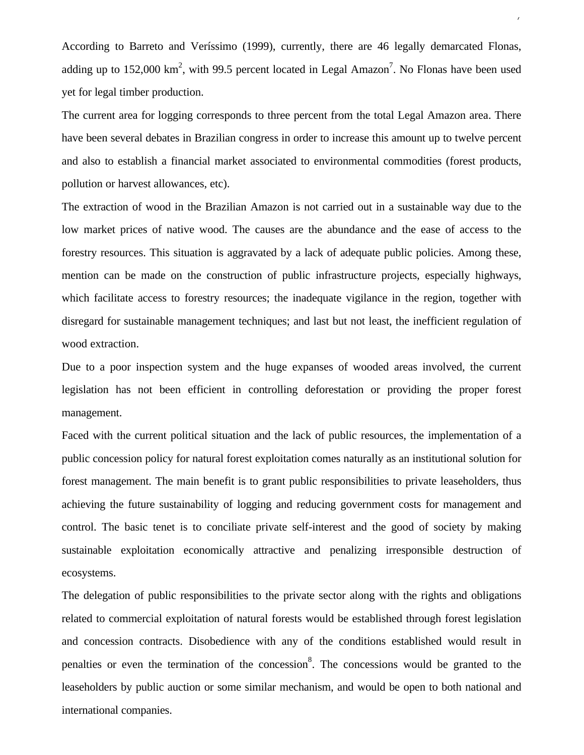According to Barreto and Veríssimo (1999), currently, there are 46 legally demarcated Flonas, adding up to 152,000  $\text{km}^2$ , with 99.5 percent located in Legal Amazon<sup>7</sup>. No Flonas have been used yet for legal timber production.

7

The current area for logging corresponds to three percent from the total Legal Amazon area. There have been several debates in Brazilian congress in order to increase this amount up to twelve percent and also to establish a financial market associated to environmental commodities (forest products, pollution or harvest allowances, etc).

The extraction of wood in the Brazilian Amazon is not carried out in a sustainable way due to the low market prices of native wood. The causes are the abundance and the ease of access to the forestry resources. This situation is aggravated by a lack of adequate public policies. Among these, mention can be made on the construction of public infrastructure projects, especially highways, which facilitate access to forestry resources; the inadequate vigilance in the region, together with disregard for sustainable management techniques; and last but not least, the inefficient regulation of wood extraction.

Due to a poor inspection system and the huge expanses of wooded areas involved, the current legislation has not been efficient in controlling deforestation or providing the proper forest management.

Faced with the current political situation and the lack of public resources, the implementation of a public concession policy for natural forest exploitation comes naturally as an institutional solution for forest management. The main benefit is to grant public responsibilities to private leaseholders, thus achieving the future sustainability of logging and reducing government costs for management and control. The basic tenet is to conciliate private self-interest and the good of society by making sustainable exploitation economically attractive and penalizing irresponsible destruction of ecosystems.

The delegation of public responsibilities to the private sector along with the rights and obligations related to commercial exploitation of natural forests would be established through forest legislation and concession contracts. Disobedience with any of the conditions established would result in penalties or even the termination of the concession<sup>8</sup>. The concessions would be granted to the leaseholders by public auction or some similar mechanism, and would be open to both national and international companies.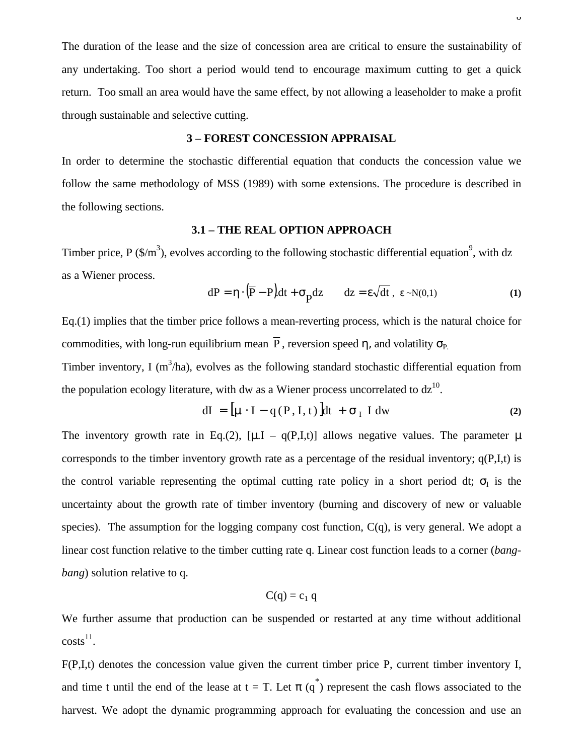The duration of the lease and the size of concession area are critical to ensure the sustainability of any undertaking. Too short a period would tend to encourage maximum cutting to get a quick return. Too small an area would have the same effect, by not allowing a leaseholder to make a profit through sustainable and selective cutting.

## **3 – FOREST CONCESSION APPRAISAL**

In order to determine the stochastic differential equation that conducts the concession value we follow the same methodology of MSS (1989) with some extensions. The procedure is described in the following sections.

## **3.1 – THE REAL OPTION APPROACH**

Timber price, P  $(\frac{C}{m^3})$ , evolves according to the following stochastic differential equation<sup>9</sup>, with dz as a Wiener process.

$$
dP = \eta \cdot (\overline{P} - P)dt + \sigma_p dz \qquad dz = \varepsilon \sqrt{dt}, \ \varepsilon \sim N(0,1)
$$
 (1)

Eq.(1) implies that the timber price follows a mean-reverting process, which is the natural choice for commodities, with long-run equilibrium mean  $\overline{P}$ , reversion speed  $\eta$ , and volatility  $\sigma_{P}$ 

Timber inventory, I ( $m<sup>3</sup>/ha$ ), evolves as the following standard stochastic differential equation from the population ecology literature, with dw as a Wiener process uncorrelated to  $dz^{10}$ .

$$
dI = \left[\mu \cdot I - q(P, I, t)\right]dt + \sigma_I I dw \tag{2}
$$

The inventory growth rate in Eq.(2),  $[\mu I - q(P,I,t)]$  allows negative values. The parameter  $\mu$ corresponds to the timber inventory growth rate as a percentage of the residual inventory;  $q(P,I,t)$  is the control variable representing the optimal cutting rate policy in a short period dt;  $\sigma$ <sup>I</sup> is the uncertainty about the growth rate of timber inventory (burning and discovery of new or valuable species). The assumption for the logging company cost function,  $C(q)$ , is very general. We adopt a linear cost function relative to the timber cutting rate q. Linear cost function leads to a corner (*bangbang*) solution relative to q.

$$
C(q) = c_1 q
$$

We further assume that production can be suspended or restarted at any time without additional  $costs<sup>11</sup>$ .

F(P,I,t) denotes the concession value given the current timber price P, current timber inventory I, and time t until the end of the lease at  $t = T$ . Let  $\pi(q^*)$  represent the cash flows associated to the harvest. We adopt the dynamic programming approach for evaluating the concession and use an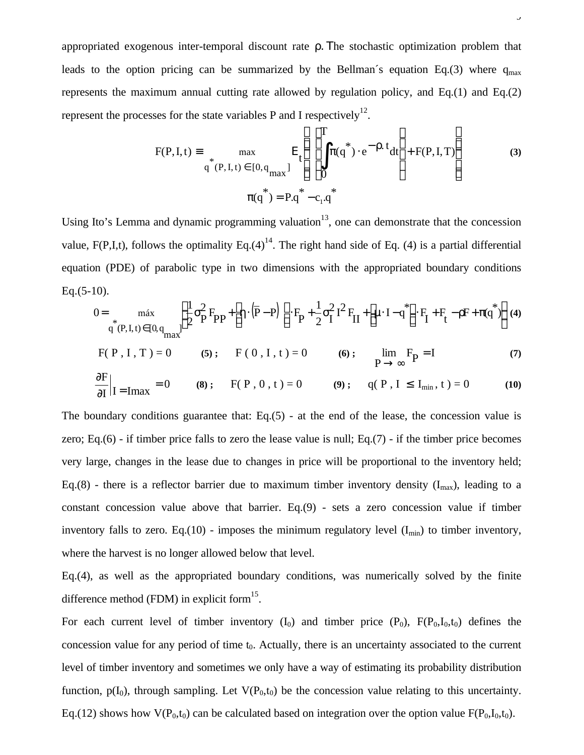appropriated exogenous inter-temporal discount rate ρ. Τhe stochastic optimization problem that leads to the option pricing can be summarized by the Bellman's equation Eq.(3) where  $q_{max}$ represents the maximum annual cutting rate allowed by regulation policy, and Eq.(1) and Eq.(2) represent the processes for the state variables P and I respectively<sup>12</sup>.

$$
F(P, I, t) = \max_{\substack{q \text{ (P, I, t) } \in [0, q_{max}]} \mathbb{E}_{t} \left\{ \left[ \int_{0}^{T} \pi(q^{*}) \cdot e^{-\rho \cdot t} dt \right] + F(P, I, T) \right\}
$$
(3)  

$$
\pi(q^{*}) = P.q^{*} - c_{1}.q^{*}
$$

Using Ito's Lemma and dynamic programming valuation<sup>13</sup>, one can demonstrate that the concession value, F(P,I,t), follows the optimality Eq.(4)<sup>14</sup>. The right hand side of Eq. (4) is a partial differential equation (PDE) of parabolic type in two dimensions with the appropriated boundary conditions  $Eq.(5-10).$ 

$$
0 = \max_{q^*(P, I, t) \in [0, q]} \left\{ \frac{1}{2} \sigma_P^2 F_{PP} + \left[ \eta \cdot (\overline{P} - P) \right] \cdot F_P + \frac{1}{2} \sigma_I^2 I^2 F_{II} + \left[ \mu \cdot I - q^* \right] \cdot F_I + F_t - \rho F + \pi (q^*) \right\} (4)
$$

$$
F(P, I, T) = 0
$$
 (5);  $F(0, I, t) = 0$  (6);  $\lim_{P \to \infty} F_P = I$  (7)

$$
\frac{\partial F}{\partial I}\Big|_{I = \text{Imax}} = 0 \quad (8); \quad F(P, 0, t) = 0 \quad (9); \quad q(P, I \le I_{\text{min}}, t) = 0 \quad (10)
$$

The boundary conditions guarantee that: Eq.(5) - at the end of the lease, the concession value is zero; Eq.(6) - if timber price falls to zero the lease value is null; Eq.(7) - if the timber price becomes very large, changes in the lease due to changes in price will be proportional to the inventory held; Eq.(8) - there is a reflector barrier due to maximum timber inventory density  $(I_{max})$ , leading to a constant concession value above that barrier. Eq.(9) - sets a zero concession value if timber inventory falls to zero. Eq.(10) - imposes the minimum regulatory level  $(I_{min})$  to timber inventory, where the harvest is no longer allowed below that level.

Eq.(4), as well as the appropriated boundary conditions, was numerically solved by the finite difference method (FDM) in explicit form $^{15}$ .

For each current level of timber inventory  $(I_0)$  and timber price  $(P_0)$ ,  $F(P_0,I_0,t_0)$  defines the concession value for any period of time  $t_0$ . Actually, there is an uncertainty associated to the current level of timber inventory and sometimes we only have a way of estimating its probability distribution function,  $p(I_0)$ , through sampling. Let  $V(P_0,t_0)$  be the concession value relating to this uncertainty. Eq.(12) shows how  $V(P_0,t_0)$  can be calculated based on integration over the option value  $F(P_0,I_0,t_0)$ .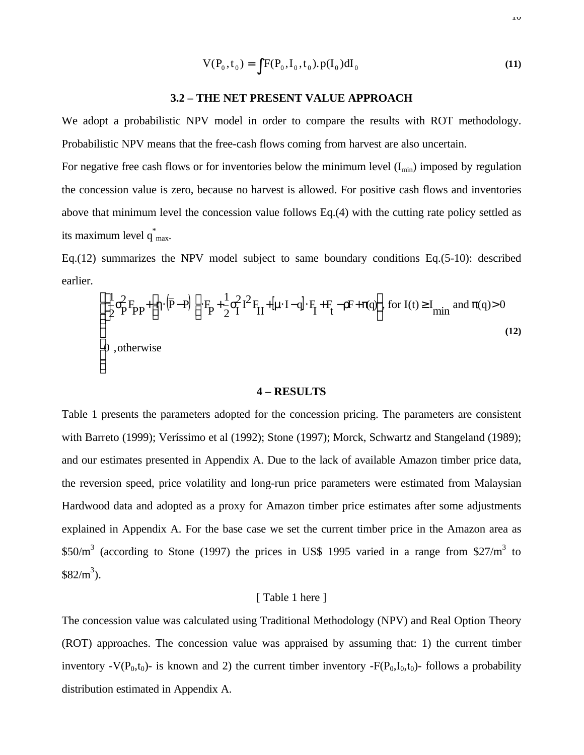$$
V(P_0, t_0) = \int F(P_0, I_0, t_0) . p(I_0) dI_0
$$
\n(11)

#### **3.2 – THE NET PRESENT VALUE APPROACH**

We adopt a probabilistic NPV model in order to compare the results with ROT methodology. Probabilistic NPV means that the free-cash flows coming from harvest are also uncertain.

For negative free cash flows or for inventories below the minimum level  $(I_{min})$  imposed by regulation the concession value is zero, because no harvest is allowed. For positive cash flows and inventories above that minimum level the concession value follows Eq.(4) with the cutting rate policy settled as its maximum level  $q^*_{max}$ .

Eq.(12) summarizes the NPV model subject to same boundary conditions Eq.(5-10): described earlier.

$$
\begin{cases} \left[\frac{1}{2}\sigma_{\mathbf{P}}^{2}F_{\mathbf{P}\mathbf{P}}+\left[\eta\cdot\left(\overline{\mathbf{P}}-\mathbf{P}\right)\right]\cdot F_{\mathbf{P}}+\frac{1}{2}\sigma_{\mathbf{I}}^{2}I^{2}F_{\mathbf{II}}+[\mu\cdot\mathbf{I}-\mathbf{q}]\cdot F_{\mathbf{I}}+F_{\mathbf{t}}-\rho F+\pi(\mathbf{q})\right], \text{ for } I(t)\geq I_{\text{min}} \text{ and } \pi(\mathbf{q})>0\\ 0 \text{ , otherwise} \end{cases}
$$
(12)

#### **4 – RESULTS**

Table 1 presents the parameters adopted for the concession pricing. The parameters are consistent with Barreto (1999); Veríssimo et al (1992); Stone (1997); Morck, Schwartz and Stangeland (1989); and our estimates presented in Appendix A. Due to the lack of available Amazon timber price data, the reversion speed, price volatility and long-run price parameters were estimated from Malaysian Hardwood data and adopted as a proxy for Amazon timber price estimates after some adjustments explained in Appendix A. For the base case we set the current timber price in the Amazon area as  $$50/m<sup>3</sup>$  (according to Stone (1997) the prices in US\$ 1995 varied in a range from \$27/m<sup>3</sup> to  $$82/m^3$ ).

## [ Table 1 here ]

The concession value was calculated using Traditional Methodology (NPV) and Real Option Theory (ROT) approaches. The concession value was appraised by assuming that: 1) the current timber inventory -V( $P_0$ , $t_0$ )- is known and 2) the current timber inventory -F( $P_0$ , $I_0$ , $t_0$ )- follows a probability distribution estimated in Appendix A.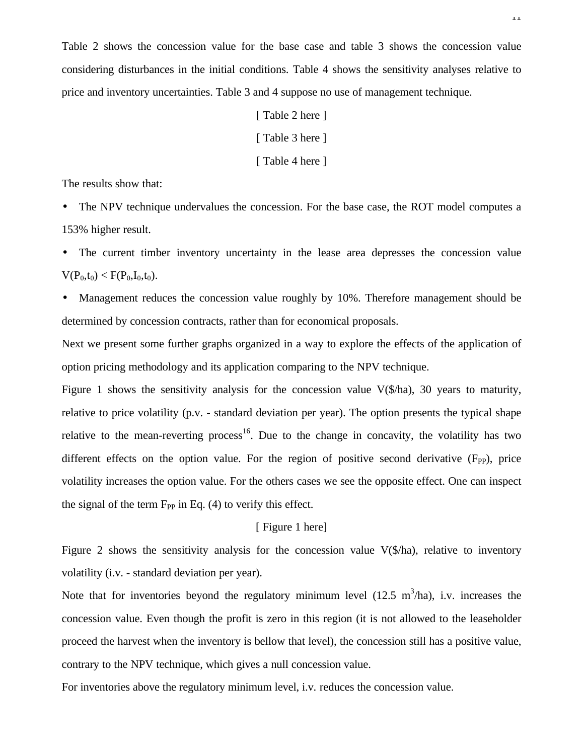Table 2 shows the concession value for the base case and table 3 shows the concession value considering disturbances in the initial conditions. Table 4 shows the sensitivity analyses relative to price and inventory uncertainties. Table 3 and 4 suppose no use of management technique.

> [ Table 2 here ] [ Table 3 here ] [ Table 4 here ]

The results show that:

• The NPV technique undervalues the concession. For the base case, the ROT model computes a 153% higher result.

• The current timber inventory uncertainty in the lease area depresses the concession value  $V(P_0,t_0) < F(P_0,I_0,t_0)$ .

• Management reduces the concession value roughly by 10%. Therefore management should be determined by concession contracts, rather than for economical proposals.

Next we present some further graphs organized in a way to explore the effects of the application of option pricing methodology and its application comparing to the NPV technique.

Figure 1 shows the sensitivity analysis for the concession value V(\$/ha), 30 years to maturity, relative to price volatility (p.v. - standard deviation per year). The option presents the typical shape relative to the mean-reverting process<sup>16</sup>. Due to the change in concavity, the volatility has two different effects on the option value. For the region of positive second derivative  $(F_{PP})$ , price volatility increases the option value. For the others cases we see the opposite effect. One can inspect the signal of the term  $F_{PP}$  in Eq. (4) to verify this effect.

## [ Figure 1 here]

Figure 2 shows the sensitivity analysis for the concession value V(\$/ha), relative to inventory volatility (i.v. - standard deviation per year).

Note that for inventories beyond the regulatory minimum level  $(12.5 \text{ m}^3/\text{ha})$ , i.v. increases the concession value. Even though the profit is zero in this region (it is not allowed to the leaseholder proceed the harvest when the inventory is bellow that level), the concession still has a positive value, contrary to the NPV technique, which gives a null concession value.

For inventories above the regulatory minimum level, i.v. reduces the concession value.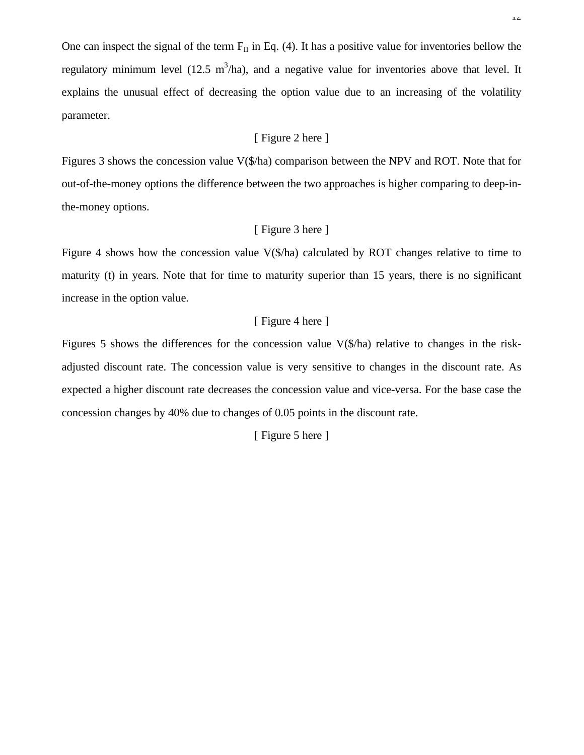One can inspect the signal of the term  $F_{II}$  in Eq. (4). It has a positive value for inventories bellow the regulatory minimum level (12.5 m<sup>3</sup>/ha), and a negative value for inventories above that level. It explains the unusual effect of decreasing the option value due to an increasing of the volatility parameter.

## [ Figure 2 here ]

Figures 3 shows the concession value V(\$/ha) comparison between the NPV and ROT. Note that for out-of-the-money options the difference between the two approaches is higher comparing to deep-inthe-money options.

## [ Figure 3 here ]

Figure 4 shows how the concession value V(\$/ha) calculated by ROT changes relative to time to maturity (t) in years. Note that for time to maturity superior than 15 years, there is no significant increase in the option value.

## [ Figure 4 here ]

Figures 5 shows the differences for the concession value V(\$/ha) relative to changes in the riskadjusted discount rate. The concession value is very sensitive to changes in the discount rate. As expected a higher discount rate decreases the concession value and vice-versa. For the base case the concession changes by 40% due to changes of 0.05 points in the discount rate.

[ Figure 5 here ]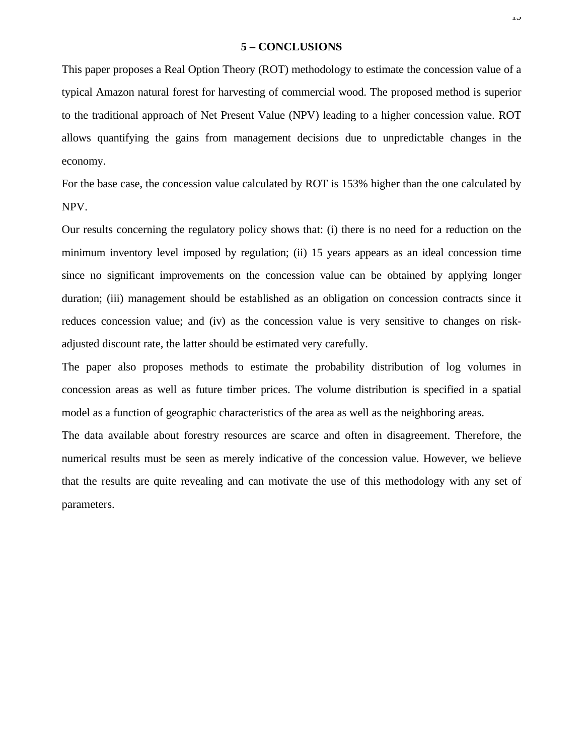# **5 – CONCLUSIONS**

This paper proposes a Real Option Theory (ROT) methodology to estimate the concession value of a typical Amazon natural forest for harvesting of commercial wood. The proposed method is superior to the traditional approach of Net Present Value (NPV) leading to a higher concession value. ROT allows quantifying the gains from management decisions due to unpredictable changes in the economy.

For the base case, the concession value calculated by ROT is 153% higher than the one calculated by NPV.

Our results concerning the regulatory policy shows that: (i) there is no need for a reduction on the minimum inventory level imposed by regulation; (ii) 15 years appears as an ideal concession time since no significant improvements on the concession value can be obtained by applying longer duration; (iii) management should be established as an obligation on concession contracts since it reduces concession value; and (iv) as the concession value is very sensitive to changes on riskadjusted discount rate, the latter should be estimated very carefully.

The paper also proposes methods to estimate the probability distribution of log volumes in concession areas as well as future timber prices. The volume distribution is specified in a spatial model as a function of geographic characteristics of the area as well as the neighboring areas.

The data available about forestry resources are scarce and often in disagreement. Therefore, the numerical results must be seen as merely indicative of the concession value. However, we believe that the results are quite revealing and can motivate the use of this methodology with any set of parameters.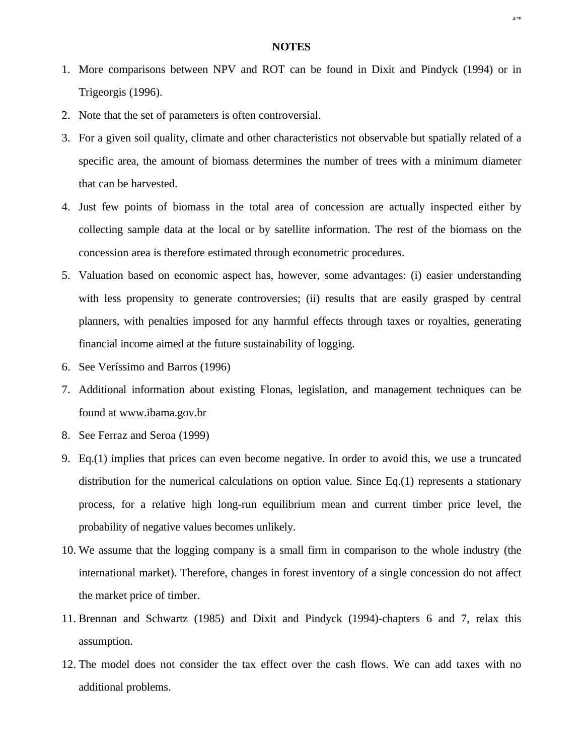- 1. More comparisons between NPV and ROT can be found in Dixit and Pindyck (1994) or in Trigeorgis (1996).
- 2. Note that the set of parameters is often controversial.
- 3. For a given soil quality, climate and other characteristics not observable but spatially related of a specific area, the amount of biomass determines the number of trees with a minimum diameter that can be harvested.
- 4. Just few points of biomass in the total area of concession are actually inspected either by collecting sample data at the local or by satellite information. The rest of the biomass on the concession area is therefore estimated through econometric procedures.
- 5. Valuation based on economic aspect has, however, some advantages: (i) easier understanding with less propensity to generate controversies; (ii) results that are easily grasped by central planners, with penalties imposed for any harmful effects through taxes or royalties, generating financial income aimed at the future sustainability of logging.
- 6. See Veríssimo and Barros (1996)
- 7. Additional information about existing Flonas, legislation, and management techniques can be found at www.ibama.gov.br
- 8. See Ferraz and Seroa (1999)
- 9. Eq.(1) implies that prices can even become negative. In order to avoid this, we use a truncated distribution for the numerical calculations on option value. Since Eq.(1) represents a stationary process, for a relative high long-run equilibrium mean and current timber price level, the probability of negative values becomes unlikely.
- 10. We assume that the logging company is a small firm in comparison to the whole industry (the international market). Therefore, changes in forest inventory of a single concession do not affect the market price of timber.
- 11. Brennan and Schwartz (1985) and Dixit and Pindyck (1994)-chapters 6 and 7, relax this assumption.
- 12. The model does not consider the tax effect over the cash flows. We can add taxes with no additional problems.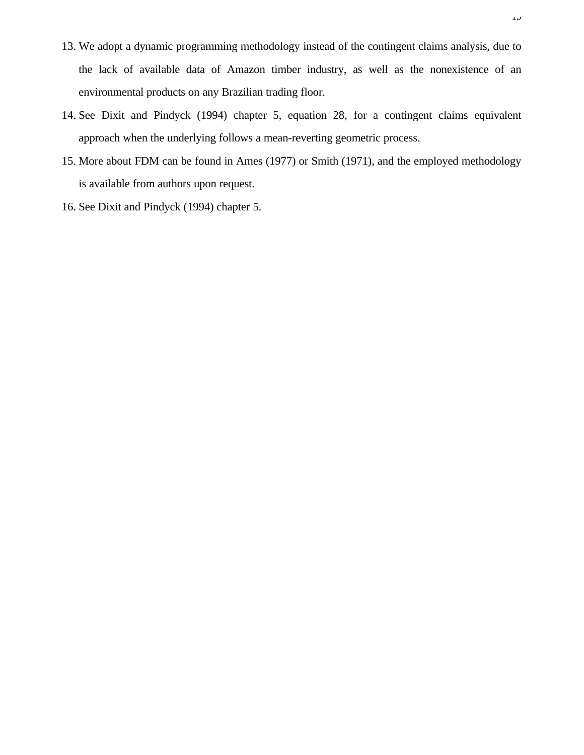- 13. We adopt a dynamic programming methodology instead of the contingent claims analysis, due to the lack of available data of Amazon timber industry, as well as the nonexistence of an environmental products on any Brazilian trading floor.
- 14. See Dixit and Pindyck (1994) chapter 5, equation 28, for a contingent claims equivalent approach when the underlying follows a mean-reverting geometric process.
- 15. More about FDM can be found in Ames (1977) or Smith (1971), and the employed methodology is available from authors upon request.
- 16. See Dixit and Pindyck (1994) chapter 5.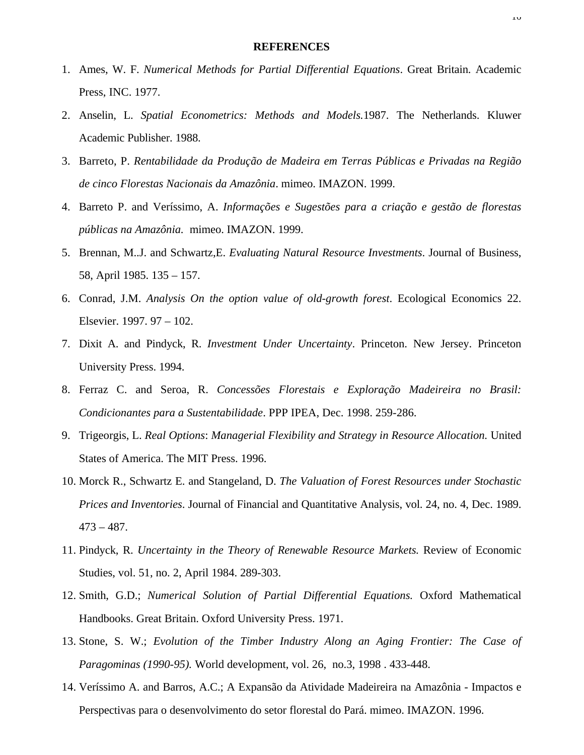#### **REFERENCES**

- 1. Ames, W. F. *Numerical Methods for Partial Differential Equations*. Great Britain. Academic Press, INC. 1977.
- 2. Anselin, L. *Spatial Econometrics: Methods and Models.*1987. The Netherlands. Kluwer Academic Publisher. 1988.
- 3. Barreto, P. *Rentabilidade da Produção de Madeira em Terras Públicas e Privadas na Região de cinco Florestas Nacionais da Amazônia*. mimeo. IMAZON. 1999.
- 4. Barreto P. and Veríssimo, A. *Informações e Sugestões para a criação e gestão de florestas públicas na Amazônia.* mimeo. IMAZON. 1999.
- 5. Brennan, M..J. and Schwartz,E. *Evaluating Natural Resource Investments*. Journal of Business, 58, April 1985. 135 – 157.
- 6. Conrad, J.M. *Analysis On the option value of old-growth forest*. Ecological Economics 22. Elsevier. 1997. 97 – 102.
- 7. Dixit A. and Pindyck, R. *Investment Under Uncertainty*. Princeton. New Jersey. Princeton University Press. 1994.
- 8. Ferraz C. and Seroa, R. *Concessões Florestais e Exploração Madeireira no Brasil: Condicionantes para a Sustentabilidade*. PPP IPEA, Dec. 1998. 259-286.
- 9. Trigeorgis, L. *Real Options*: *Managerial Flexibility and Strategy in Resource Allocation.* United States of America. The MIT Press. 1996.
- 10. Morck R., Schwartz E. and Stangeland, D. *The Valuation of Forest Resources under Stochastic Prices and Inventories*. Journal of Financial and Quantitative Analysis, vol. 24, no. 4, Dec. 1989.  $473 - 487.$
- 11. Pindyck, R. *Uncertainty in the Theory of Renewable Resource Markets.* Review of Economic Studies, vol. 51, no. 2, April 1984. 289-303.
- 12. Smith, G.D.; *Numerical Solution of Partial Differential Equations.* Oxford Mathematical Handbooks. Great Britain. Oxford University Press. 1971.
- 13. Stone, S. W.; *Evolution of the Timber Industry Along an Aging Frontier: The Case of Paragominas (1990-95).* World development, vol. 26, no.3, 1998 . 433-448.
- 14. Veríssimo A. and Barros, A.C.; A Expansão da Atividade Madeireira na Amazônia Impactos e Perspectivas para o desenvolvimento do setor florestal do Pará. mimeo. IMAZON. 1996.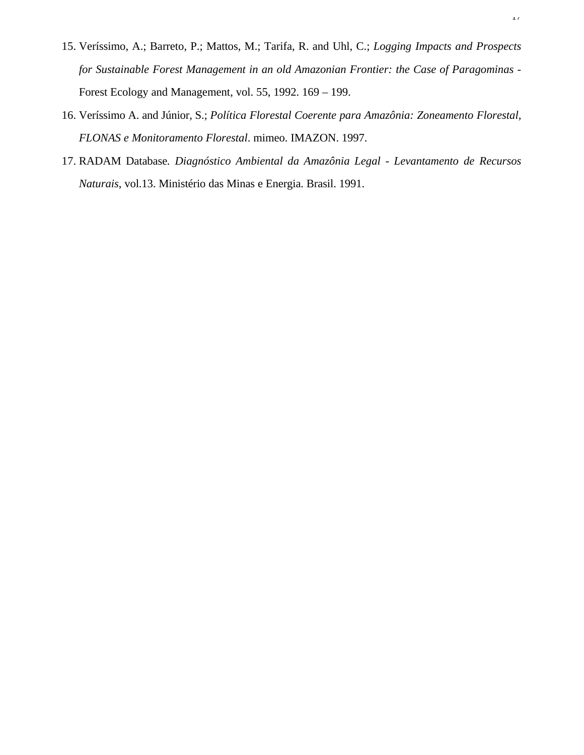- 15. Veríssimo, A.; Barreto, P.; Mattos, M.; Tarifa, R. and Uhl, C.; *Logging Impacts and Prospects for Sustainable Forest Management in an old Amazonian Frontier: the Case of Paragominas* - Forest Ecology and Management, vol. 55, 1992. 169 – 199.
- 16. Veríssimo A. and Júnior, S.; *Política Florestal Coerente para Amazônia: Zoneamento Florestal, FLONAS e Monitoramento Florestal*. mimeo. IMAZON. 1997.
- 17. RADAM Database*. Diagnóstico Ambiental da Amazônia Legal - Levantamento de Recursos Naturais*, vol.13. Ministério das Minas e Energia. Brasil. 1991.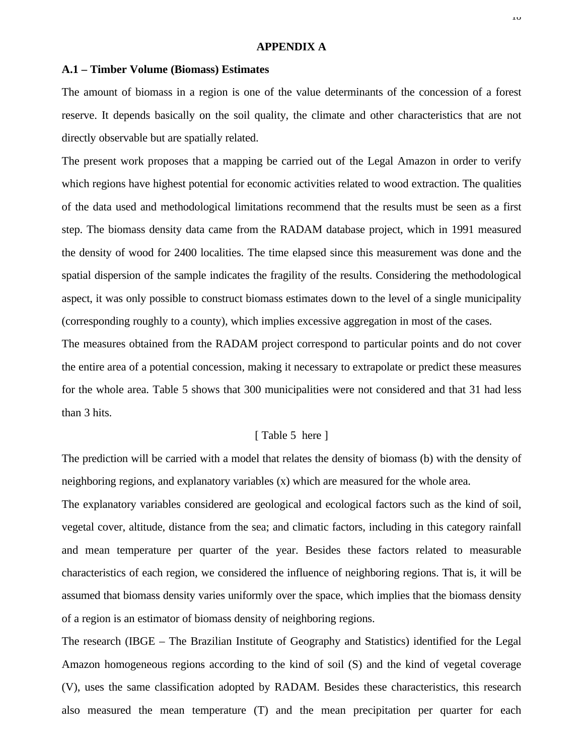## **APPENDIX A**

#### **A.1 – Timber Volume (Biomass) Estimates**

The amount of biomass in a region is one of the value determinants of the concession of a forest reserve. It depends basically on the soil quality, the climate and other characteristics that are not directly observable but are spatially related.

The present work proposes that a mapping be carried out of the Legal Amazon in order to verify which regions have highest potential for economic activities related to wood extraction. The qualities of the data used and methodological limitations recommend that the results must be seen as a first step. The biomass density data came from the RADAM database project, which in 1991 measured the density of wood for 2400 localities. The time elapsed since this measurement was done and the spatial dispersion of the sample indicates the fragility of the results. Considering the methodological aspect, it was only possible to construct biomass estimates down to the level of a single municipality (corresponding roughly to a county), which implies excessive aggregation in most of the cases.

The measures obtained from the RADAM project correspond to particular points and do not cover the entire area of a potential concession, making it necessary to extrapolate or predict these measures for the whole area. Table 5 shows that 300 municipalities were not considered and that 31 had less than 3 hits.

## [ Table 5 here ]

The prediction will be carried with a model that relates the density of biomass (b) with the density of neighboring regions, and explanatory variables (x) which are measured for the whole area.

The explanatory variables considered are geological and ecological factors such as the kind of soil, vegetal cover, altitude, distance from the sea; and climatic factors, including in this category rainfall and mean temperature per quarter of the year. Besides these factors related to measurable characteristics of each region, we considered the influence of neighboring regions. That is, it will be assumed that biomass density varies uniformly over the space, which implies that the biomass density of a region is an estimator of biomass density of neighboring regions.

The research (IBGE – The Brazilian Institute of Geography and Statistics) identified for the Legal Amazon homogeneous regions according to the kind of soil (S) and the kind of vegetal coverage (V), uses the same classification adopted by RADAM. Besides these characteristics, this research also measured the mean temperature (T) and the mean precipitation per quarter for each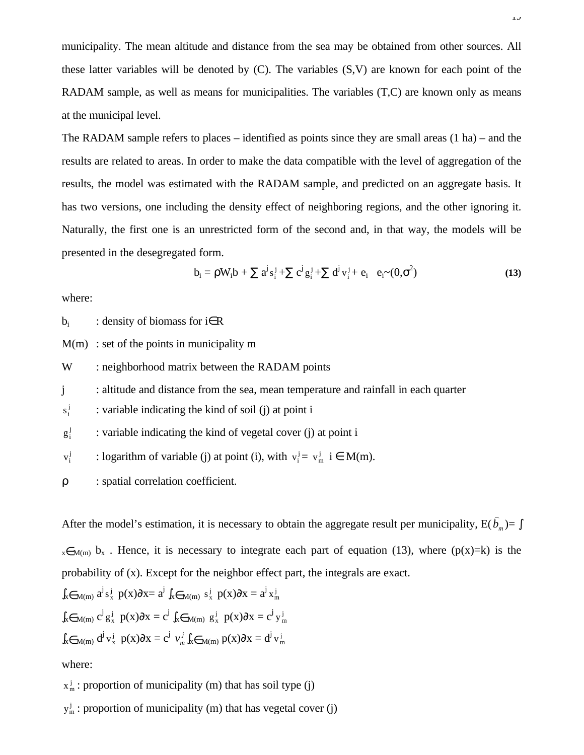municipality. The mean altitude and distance from the sea may be obtained from other sources. All these latter variables will be denoted by (C). The variables (S,V) are known for each point of the RADAM sample, as well as means for municipalities. The variables (T,C) are known only as means at the municipal level.

The RADAM sample refers to places – identified as points since they are small areas (1 ha) – and the results are related to areas. In order to make the data compatible with the level of aggregation of the results, the model was estimated with the RADAM sample, and predicted on an aggregate basis. It has two versions, one including the density effect of neighboring regions, and the other ignoring it. Naturally, the first one is an unrestricted form of the second and, in that way, the models will be presented in the desegregated form.

$$
b_{i} = \rho W_{i} b + \sum a^{j} s_{i}^{j} + \sum c^{j} g_{i}^{j} + \sum d^{j} v_{i}^{j} + e_{i} e_{i}^{2} - (0, \sigma^{2})
$$
(13)

where:

 $b_i$ : density of biomass for i∈R

 $M(m)$ : set of the points in municipality m

W : neighborhood matrix between the RADAM points

j : altitude and distance from the sea, mean temperature and rainfall in each quarter

j i : variable indicating the kind of soil (j) at point i

j i exteed : variable indicating the kind of vegetal cover (j) at point i

j i  $v_i^j$  : logarithm of variable (j) at point (i), with  $v_i^j = v_m^j$  i  $\in M(m)$ .

ρ : spatial correlation coefficient.

After the model's estimation, it is necessary to obtain the aggregate result per municipality,  $E(b_m)$  $\overline{\phantom{0}}$ )= ∫  $x \in M(m)$  b<sub>x</sub>. Hence, it is necessary to integrate each part of equation (13), where (p(x)=k) is the probability of (x). Except for the neighbor effect part, the integrals are exact.

$$
\int_{x \in M(m)} a^j s_x^j p(x) \partial x = a^j \int_{x \in M(m)} s_x^j p(x) \partial x = a^j x_m^j
$$
  

$$
\int_{x \in M(m)} c^j g_x^j p(x) \partial x = c^j \int_{x \in M(m)} g_x^j p(x) \partial x = c^j y_m^j
$$
  

$$
\int_{x \in M(m)} d^j v_x^j p(x) \partial x = c^j v_m^j \int_{x \in M(m)} p(x) \partial x = d^j v_m^j
$$

where:

 $x_m$ : proportion of municipality (m) that has soil type (j)

 $y_m^j$  : proportion of municipality (m) that has vegetal cover (j)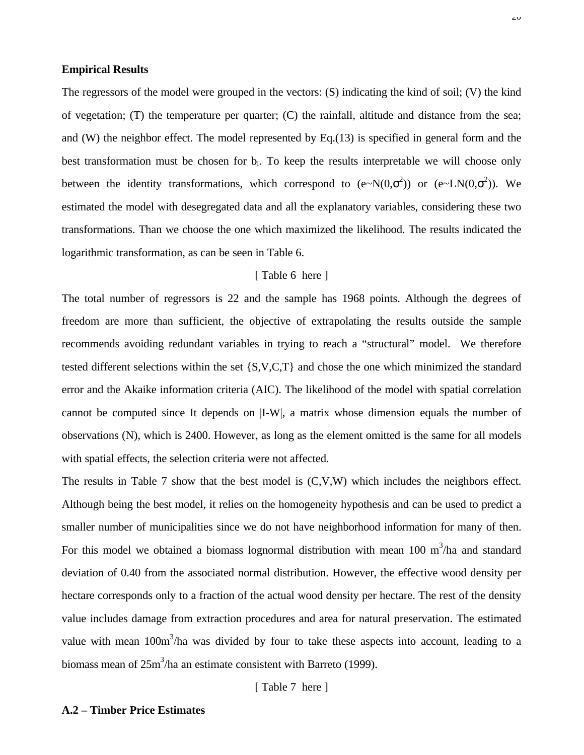## **Empirical Results**

The regressors of the model were grouped in the vectors: (S) indicating the kind of soil; (V) the kind of vegetation; (T) the temperature per quarter; (C) the rainfall, altitude and distance from the sea; and (W) the neighbor effect. The model represented by Eq.(13) is specified in general form and the best transformation must be chosen for b<sub>i</sub>. To keep the results interpretable we will choose only between the identity transformations, which correspond to  $(e~N(0,\sigma^2))$  or  $(e~LN(0,\sigma^2))$ . We estimated the model with desegregated data and all the explanatory variables, considering these two transformations. Than we choose the one which maximized the likelihood. The results indicated the logarithmic transformation, as can be seen in Table 6.

#### [ Table 6 here ]

The total number of regressors is 22 and the sample has 1968 points. Although the degrees of freedom are more than sufficient, the objective of extrapolating the results outside the sample recommends avoiding redundant variables in trying to reach a "structural" model. We therefore tested different selections within the set {S,V,C,T} and chose the one which minimized the standard error and the Akaike information criteria (AIC). The likelihood of the model with spatial correlation cannot be computed since It depends on |I-W|, a matrix whose dimension equals the number of observations (N), which is 2400. However, as long as the element omitted is the same for all models with spatial effects, the selection criteria were not affected.

The results in Table 7 show that the best model is (C,V,W) which includes the neighbors effect. Although being the best model, it relies on the homogeneity hypothesis and can be used to predict a smaller number of municipalities since we do not have neighborhood information for many of then. For this model we obtained a biomass lognormal distribution with mean 100  $m<sup>3</sup>/h$ a and standard deviation of 0.40 from the associated normal distribution. However, the effective wood density per hectare corresponds only to a fraction of the actual wood density per hectare. The rest of the density value includes damage from extraction procedures and area for natural preservation. The estimated value with mean  $100m<sup>3</sup>/ha$  was divided by four to take these aspects into account, leading to a biomass mean of  $25m^3/ha$  an estimate consistent with Barreto (1999).

[ Table 7 here ]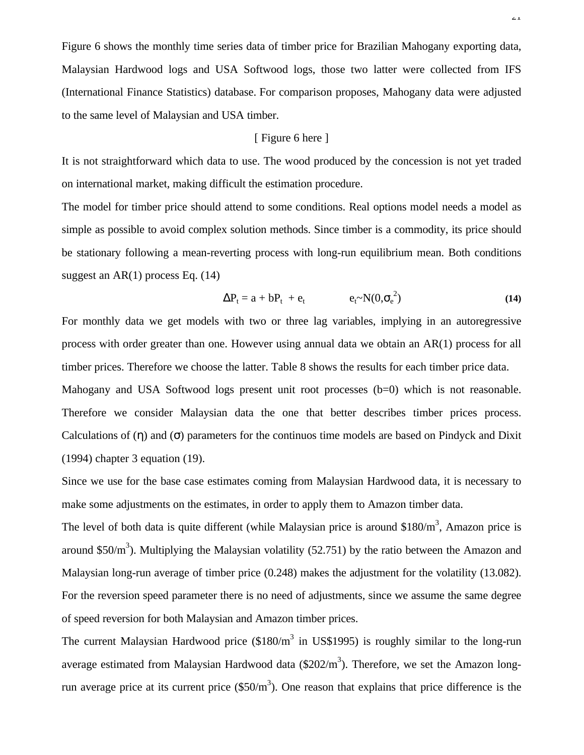Figure 6 shows the monthly time series data of timber price for Brazilian Mahogany exporting data, Malaysian Hardwood logs and USA Softwood logs, those two latter were collected from IFS (International Finance Statistics) database. For comparison proposes, Mahogany data were adjusted to the same level of Malaysian and USA timber.

## [ Figure 6 here ]

It is not straightforward which data to use. The wood produced by the concession is not yet traded on international market, making difficult the estimation procedure.

The model for timber price should attend to some conditions. Real options model needs a model as simple as possible to avoid complex solution methods. Since timber is a commodity, its price should be stationary following a mean-reverting process with long-run equilibrium mean. Both conditions suggest an  $AR(1)$  process Eq.  $(14)$ 

$$
\Delta P_t = a + bP_t + e_t \qquad e_t \sim N(0, \sigma_e^2) \tag{14}
$$

For monthly data we get models with two or three lag variables, implying in an autoregressive process with order greater than one. However using annual data we obtain an AR(1) process for all timber prices. Therefore we choose the latter. Table 8 shows the results for each timber price data.

Mahogany and USA Softwood logs present unit root processes (b=0) which is not reasonable. Therefore we consider Malaysian data the one that better describes timber prices process. Calculations of  $(\eta)$  and  $(\sigma)$  parameters for the continuos time models are based on Pindyck and Dixit (1994) chapter 3 equation (19).

Since we use for the base case estimates coming from Malaysian Hardwood data, it is necessary to make some adjustments on the estimates, in order to apply them to Amazon timber data.

The level of both data is quite different (while Malaysian price is around \$180/ $m<sup>3</sup>$ , Amazon price is around \$50/ $m<sup>3</sup>$ ). Multiplying the Malaysian volatility (52.751) by the ratio between the Amazon and Malaysian long-run average of timber price (0.248) makes the adjustment for the volatility (13.082). For the reversion speed parameter there is no need of adjustments, since we assume the same degree of speed reversion for both Malaysian and Amazon timber prices.

The current Malaysian Hardwood price  $(\$180/m^3$  in US\$1995) is roughly similar to the long-run average estimated from Malaysian Hardwood data  $(\$202/m^3)$ . Therefore, we set the Amazon longrun average price at its current price  $(\$50/m^3)$ . One reason that explains that price difference is the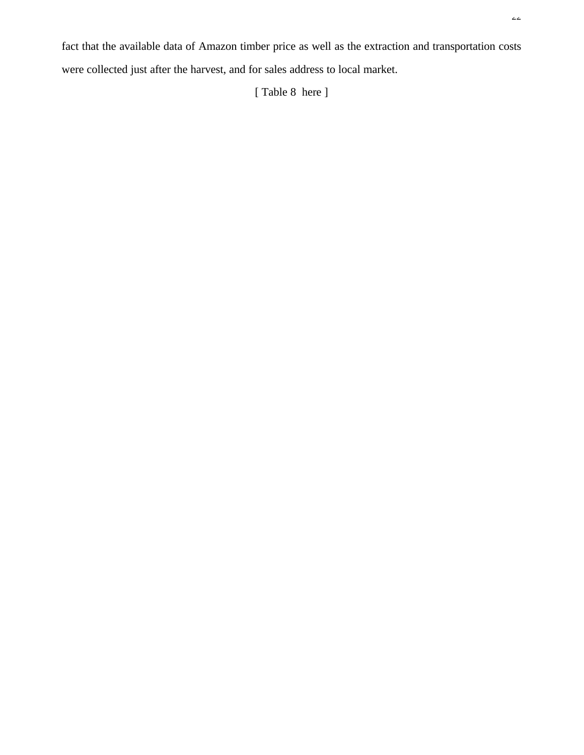fact that the available data of Amazon timber price as well as the extraction and transportation costs were collected just after the harvest, and for sales address to local market.

[ Table 8 here ]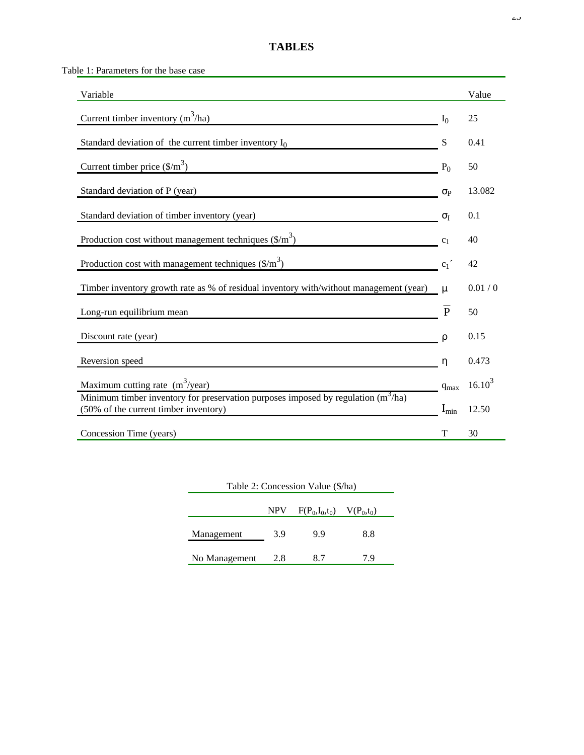# **TABLES**

Table 1: Parameters for the base case

| Variable                                                                                                                     |                  | Value       |
|------------------------------------------------------------------------------------------------------------------------------|------------------|-------------|
| Current timber inventory $(m^3/ha)$                                                                                          | I <sub>0</sub>   | 25          |
| Standard deviation of the current timber inventory $I_0$                                                                     | S                | 0.41        |
| Current timber price $(\frac{5}{m^3})$                                                                                       | $P_0$            | 50          |
| Standard deviation of P (year)                                                                                               | $\sigma_{\rm P}$ | 13.082      |
| Standard deviation of timber inventory (year)                                                                                | $\sigma_{I}$     | 0.1         |
| Production cost without management techniques $(\frac{C}{m})$                                                                | c <sub>1</sub>   | 40          |
| Production cost with management techniques $(\frac{C}{m})$                                                                   | c <sub>1</sub>   | 42          |
| Timber inventory growth rate as % of residual inventory with/without management (year)                                       | μ                | 0.01 / 0    |
| Long-run equilibrium mean                                                                                                    | $\overline{P}$   | 50          |
| Discount rate (year)                                                                                                         | ρ                | 0.15        |
| Reversion speed                                                                                                              | η                | 0.473       |
| Maximum cutting rate $(m^3$ /year)                                                                                           | $q_{\text{max}}$ | $16.10^{3}$ |
| Minimum timber inventory for preservation purposes imposed by regulation $(m^3/ha)$<br>(50% of the current timber inventory) | $I_{min}$        | 12.50       |
| Concession Time (years)                                                                                                      | T                | 30          |

| Table 2: Concession Value (\$/ha)    |     |     |     |  |  |  |  |
|--------------------------------------|-----|-----|-----|--|--|--|--|
| NPV $F(P_0, I_0, t_0)$ $V(P_0, t_0)$ |     |     |     |  |  |  |  |
| Management                           | 3.9 | 9.9 | 8.8 |  |  |  |  |
| No Management                        | 2.8 | 8.7 | 79  |  |  |  |  |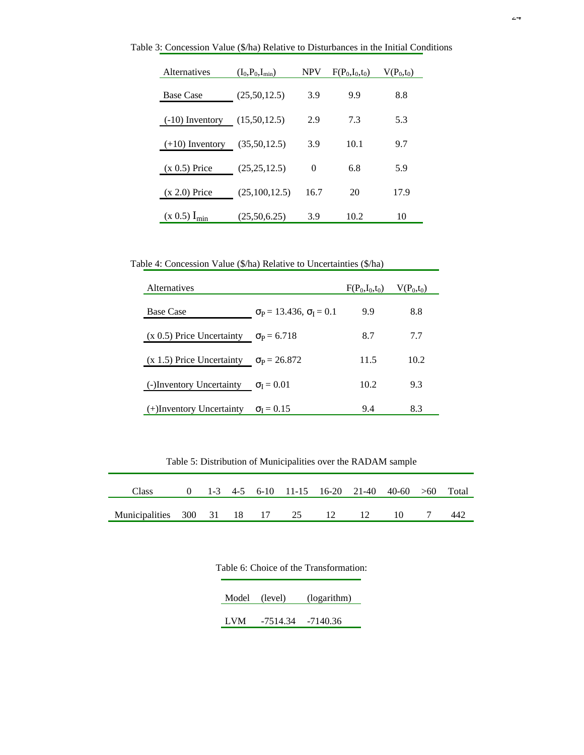| Alternatives          | $(I_0, P_0, I_{min})$ | <b>NPV</b> | $F(P_0,I_0,t_0)$ | $V(P_0,t_0)$ |
|-----------------------|-----------------------|------------|------------------|--------------|
| <b>Base Case</b>      | (25,50,12.5)          | 3.9        | 9.9              | 8.8          |
| $(-10)$ Inventory     | (15,50,12.5)          | 2.9        | 7.3              | 5.3          |
| $(+10)$ Inventory     | (35,50,12.5)          | 3.9        | 10.1             | 9.7          |
| $(x 0.5)$ Price       | (25, 25, 12.5)        | 0          | 6.8              | 5.9          |
| $(x 2.0)$ Price       | (25,100,12.5)         | 16.7       | 20               | 17.9         |
| $(x\;0.5)$ $I_{\min}$ | (25,50,6.25)          | 3.9        | 10.2             | 10           |

Table 3: Concession Value (\$/ha) Relative to Disturbances in the Initial Conditions

Table 4: Concession Value (\$/ha) Relative to Uncertainties (\$/ha)

| <b>Alternatives</b>                                |                                                 | $F(P_0,I_0,t_0)$ | $V(P_0,t_0)$ |
|----------------------------------------------------|-------------------------------------------------|------------------|--------------|
| <b>Base Case</b>                                   | $\sigma_{\rm P} = 13.436, \sigma_{\rm I} = 0.1$ | 9.9              | 8.8          |
| (x 0.5) Price Uncertainty $\sigma_{\rm P} = 6.718$ |                                                 | 8.7              | 7.7          |
| (x 1.5) Price Uncertainty $\sigma_P = 26.872$      |                                                 | 11.5             | 10.2         |
| (-)Inventory Uncertainty $\sigma_{I} = 0.01$       |                                                 | 10.2             | 9.3          |
| $(+)$ Inventory Uncertainty                        | $\sigma_{I} = 0.15$                             | 9.4              | 8.3          |

Table 5: Distribution of Municipalities over the RADAM sample

| Class 0 1-3 4-5 6-10 11-15 16-20 21-40 40-60 >60 Total |  |  |  |  |     |
|--------------------------------------------------------|--|--|--|--|-----|
| Municipalities 300 31 18 17 25 12 12 10 7              |  |  |  |  | 442 |

|       |                       | rable 6: Choice of the Transformation: |
|-------|-----------------------|----------------------------------------|
| Model | (level)               | (logarithm)                            |
| LVM   | $-7514.34$ $-7140.36$ |                                        |

Table 6: Choice of the Transformation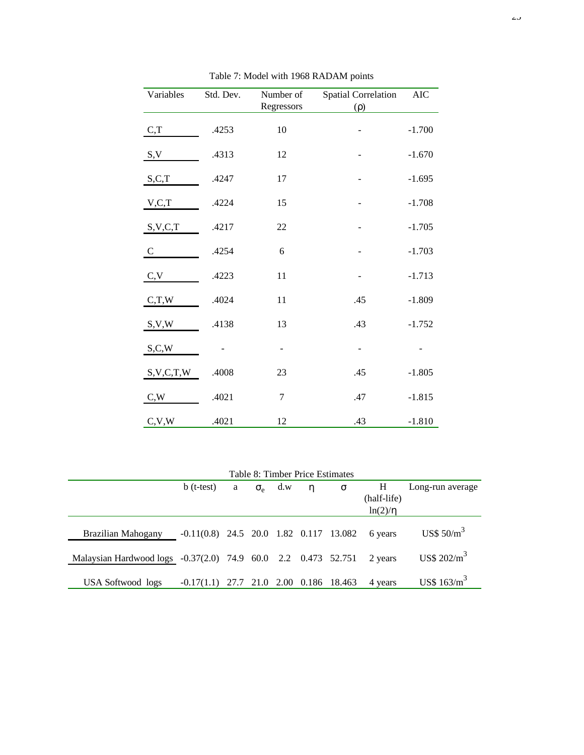| Variables     | Std. Dev. | Number of<br>Regressors | <b>Spatial Correlation</b><br>$(\rho)$ | <b>AIC</b> |
|---------------|-----------|-------------------------|----------------------------------------|------------|
| C, T          | .4253     | 10                      |                                        | $-1.700$   |
| S, V          | .4313     | 12                      |                                        | $-1.670$   |
| S, C, T       | .4247     | 17                      |                                        | $-1.695$   |
| V, C, T       | .4224     | 15                      |                                        | $-1.708$   |
| S, V, C, T    | .4217     | 22                      |                                        | $-1.705$   |
| $\mathcal{C}$ | .4254     | 6                       | -                                      | $-1.703$   |
| C, V          | .4223     | 11                      |                                        | $-1.713$   |
| C,T,W         | .4024     | 11                      | .45                                    | $-1.809$   |
| S, V, W       | .4138     | 13                      | .43                                    | $-1.752$   |
| S, C, W       |           | -                       | -                                      |            |
| S, V, C, T, W | .4008     | 23                      | .45                                    | $-1.805$   |
| C,W           | .4021     | 7                       | .47                                    | $-1.815$   |
| C, V, W       | .4021     | 12                      | .43                                    | $-1.810$   |

Table 7: Model with 1968 RADAM points

|  | Table 8: Timber Price Estimates |  |
|--|---------------------------------|--|
|--|---------------------------------|--|

|                                                               | $b$ (t-test)                                     | a | $\sigma_{\rm e}$ d.w | n | $\sigma$ | Н            | Long-run average         |
|---------------------------------------------------------------|--------------------------------------------------|---|----------------------|---|----------|--------------|--------------------------|
|                                                               |                                                  |   |                      |   |          | (half-life)  |                          |
|                                                               |                                                  |   |                      |   |          | $ln(2)/\eta$ |                          |
|                                                               |                                                  |   |                      |   |          |              |                          |
| <b>Brazilian Mahogany</b>                                     | $-0.11(0.8)$ 24.5 20.0 1.82 0.117 13.082 6 years |   |                      |   |          |              | US\$ $50/m^3$            |
|                                                               |                                                  |   |                      |   |          |              |                          |
| Malaysian Hardwood logs -0.37(2.0) 74.9 60.0 2.2 0.473 52.751 |                                                  |   |                      |   |          | 2 years      | $US\$ 202/m <sup>3</sup> |
|                                                               |                                                  |   |                      |   |          |              |                          |
| USA Softwood logs                                             | $-0.17(1.1)$ 27.7 21.0 2.00 0.186 18.463         |   |                      |   |          | 4 years      | US\$ $163/m^3$           |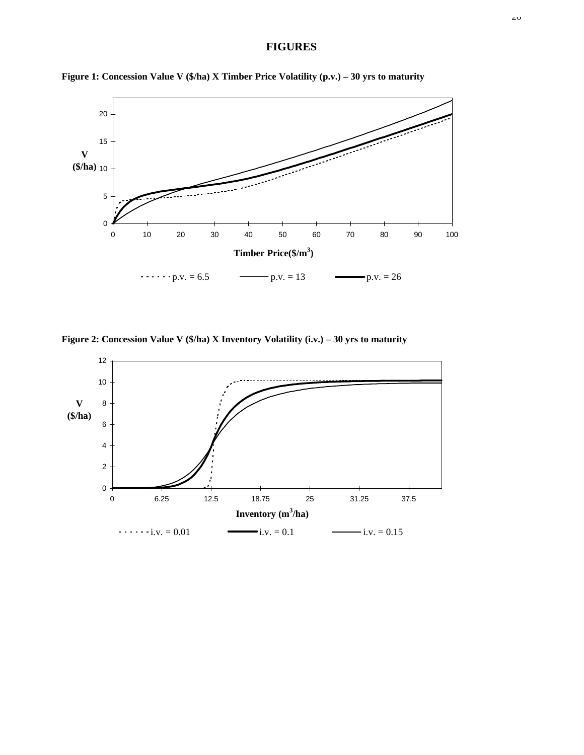# **FIGURES**



**Figure 1: Concession Value V (\$/ha) X Timber Price Volatility (p.v.) – 30 yrs to maturity**

**Figure 2: Concession Value V (\$/ha) X Inventory Volatility (i.v.) – 30 yrs to maturity**

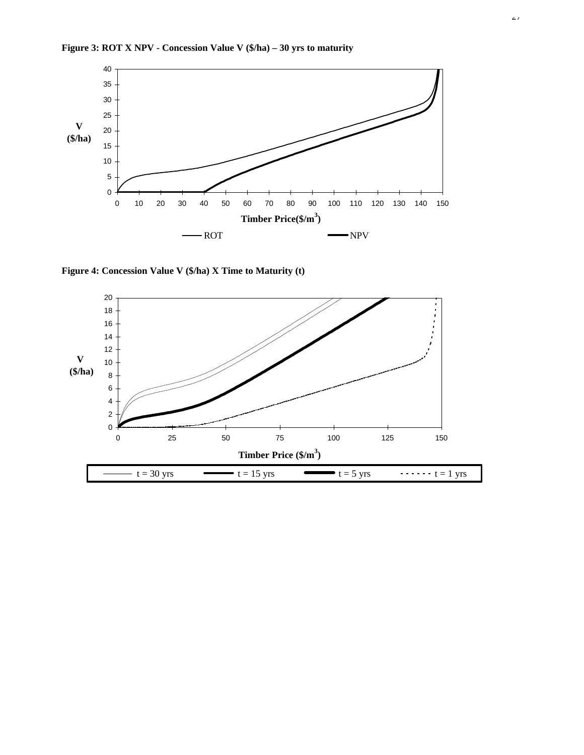



**Figure 4: Concession Value V (\$/ha) X Time to Maturity (t)**